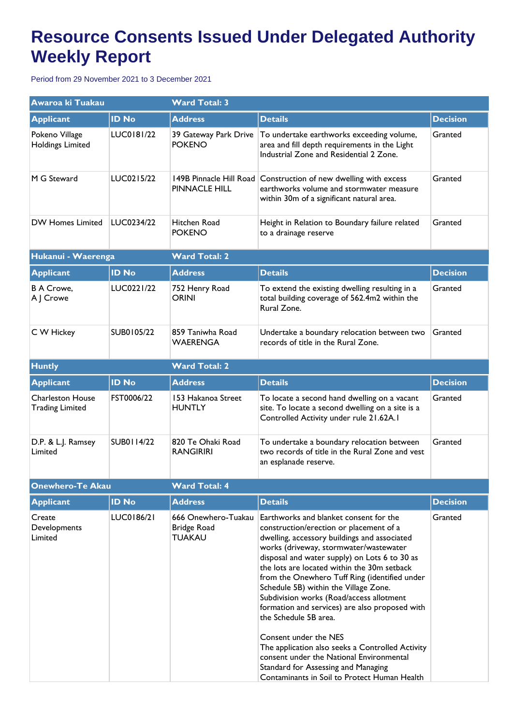## **Resource Consents Issued Under Delegated Authority Weekly Report**

Period from 29 November 2021 to 3 December 2021

| Awaroa ki Tuakau                                  |                   | <b>Ward Total: 3</b>                                |                                                                                                                                                                                                                                                                                                                                                                                                                                                                                                                                                                                                                                                                                                              |                 |  |
|---------------------------------------------------|-------------------|-----------------------------------------------------|--------------------------------------------------------------------------------------------------------------------------------------------------------------------------------------------------------------------------------------------------------------------------------------------------------------------------------------------------------------------------------------------------------------------------------------------------------------------------------------------------------------------------------------------------------------------------------------------------------------------------------------------------------------------------------------------------------------|-----------------|--|
| <b>Applicant</b>                                  | <b>ID No</b>      | <b>Address</b>                                      | <b>Details</b>                                                                                                                                                                                                                                                                                                                                                                                                                                                                                                                                                                                                                                                                                               | <b>Decision</b> |  |
| Pokeno Village<br><b>Holdings Limited</b>         | LUC0181/22        | 39 Gateway Park Drive<br><b>POKENO</b>              | To undertake earthworks exceeding volume,<br>area and fill depth requirements in the Light<br>Industrial Zone and Residential 2 Zone.                                                                                                                                                                                                                                                                                                                                                                                                                                                                                                                                                                        | Granted         |  |
| M G Steward                                       | LUC0215/22        | 149B Pinnacle Hill Road<br>PINNACLE HILL            | Construction of new dwelling with excess<br>earthworks volume and stormwater measure<br>within 30m of a significant natural area.                                                                                                                                                                                                                                                                                                                                                                                                                                                                                                                                                                            | Granted         |  |
| <b>DW Homes Limited</b>                           | LUC0234/22        | Hitchen Road<br><b>POKENO</b>                       | Height in Relation to Boundary failure related<br>to a drainage reserve                                                                                                                                                                                                                                                                                                                                                                                                                                                                                                                                                                                                                                      | Granted         |  |
| Hukanui - Waerenga                                |                   | <b>Ward Total: 2</b>                                |                                                                                                                                                                                                                                                                                                                                                                                                                                                                                                                                                                                                                                                                                                              |                 |  |
| <b>Applicant</b>                                  | <b>ID No</b>      | <b>Address</b>                                      | <b>Details</b>                                                                                                                                                                                                                                                                                                                                                                                                                                                                                                                                                                                                                                                                                               | <b>Decision</b> |  |
| <b>B A Crowe,</b><br>A J Crowe                    | LUC0221/22        | 752 Henry Road<br><b>ORINI</b>                      | To extend the existing dwelling resulting in a<br>total building coverage of 562.4m2 within the<br>Rural Zone.                                                                                                                                                                                                                                                                                                                                                                                                                                                                                                                                                                                               | Granted         |  |
| C W Hickey                                        | SUB0105/22        | 859 Taniwha Road<br><b>WAERENGA</b>                 | Undertake a boundary relocation between two<br>records of title in the Rural Zone.                                                                                                                                                                                                                                                                                                                                                                                                                                                                                                                                                                                                                           | Granted         |  |
| <b>Huntly</b>                                     |                   | <b>Ward Total: 2</b>                                |                                                                                                                                                                                                                                                                                                                                                                                                                                                                                                                                                                                                                                                                                                              |                 |  |
| <b>Applicant</b>                                  | <b>ID No</b>      | <b>Address</b>                                      | <b>Details</b>                                                                                                                                                                                                                                                                                                                                                                                                                                                                                                                                                                                                                                                                                               | <b>Decision</b> |  |
| <b>Charleston House</b><br><b>Trading Limited</b> | FST0006/22        | 153 Hakanoa Street<br><b>HUNTLY</b>                 | To locate a second hand dwelling on a vacant<br>site. To locate a second dwelling on a site is a<br>Controlled Activity under rule 21.62A.1                                                                                                                                                                                                                                                                                                                                                                                                                                                                                                                                                                  | Granted         |  |
| D.P. & L.J. Ramsey<br>Limited                     | <b>SUB0114/22</b> | 820 Te Ohaki Road<br><b>RANGIRIRI</b>               | To undertake a boundary relocation between<br>two records of title in the Rural Zone and vest<br>an esplanade reserve.                                                                                                                                                                                                                                                                                                                                                                                                                                                                                                                                                                                       | Granted         |  |
| <b>Onewhero-Te Akau</b>                           |                   | <b>Ward Total: 4</b>                                |                                                                                                                                                                                                                                                                                                                                                                                                                                                                                                                                                                                                                                                                                                              |                 |  |
| <b>Applicant</b>                                  | <b>ID No</b>      | <b>Address</b>                                      | <b>Details</b>                                                                                                                                                                                                                                                                                                                                                                                                                                                                                                                                                                                                                                                                                               | <b>Decision</b> |  |
| Create<br>Developments<br>Limited                 | LUC0186/21        | 666 Onewhero-Tuakau<br>Bridge Road<br><b>TUAKAU</b> | Earthworks and blanket consent for the<br>construction/erection or placement of a<br>dwelling, accessory buildings and associated<br>works (driveway, stormwater/wastewater<br>disposal and water supply) on Lots 6 to 30 as<br>the lots are located within the 30m setback<br>from the Onewhero Tuff Ring (identified under<br>Schedule 5B) within the Village Zone.<br>Subdivision works (Road/access allotment<br>formation and services) are also proposed with<br>the Schedule 5B area.<br>Consent under the NES<br>The application also seeks a Controlled Activity<br>consent under the National Environmental<br>Standard for Assessing and Managing<br>Contaminants in Soil to Protect Human Health | Granted         |  |